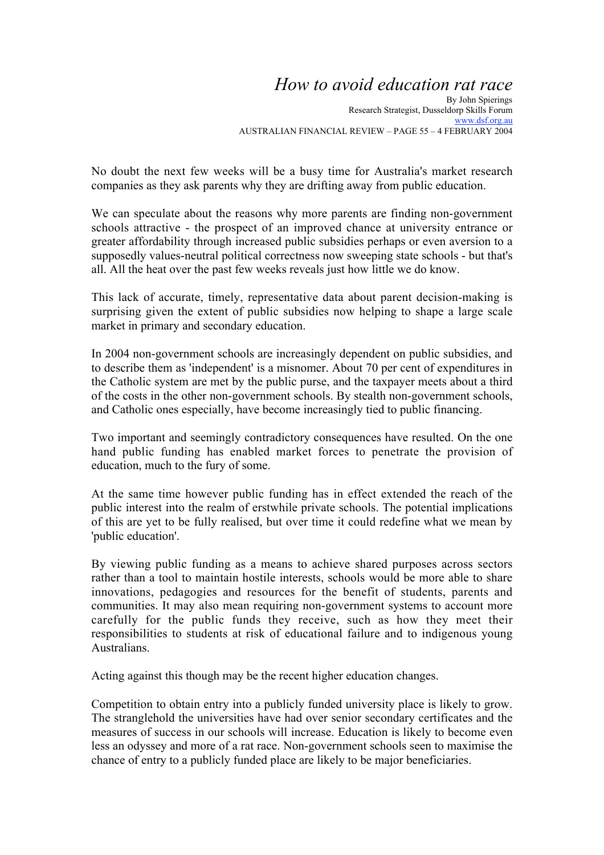## *How to avoid education rat race*

By John Spierings Research Strategist, Dusseldorp Skills Forum www.dsf.org.au AUSTRALIAN FINANCIAL REVIEW – PAGE 55 – 4 FEBRUARY 2004

No doubt the next few weeks will be a busy time for Australia's market research companies as they ask parents why they are drifting away from public education.

We can speculate about the reasons why more parents are finding non-government schools attractive - the prospect of an improved chance at university entrance or greater affordability through increased public subsidies perhaps or even aversion to a supposedly values-neutral political correctness now sweeping state schools - but that's all. All the heat over the past few weeks reveals just how little we do know.

This lack of accurate, timely, representative data about parent decision-making is surprising given the extent of public subsidies now helping to shape a large scale market in primary and secondary education.

In 2004 non-government schools are increasingly dependent on public subsidies, and to describe them as 'independent' is a misnomer. About 70 per cent of expenditures in the Catholic system are met by the public purse, and the taxpayer meets about a third of the costs in the other non-government schools. By stealth non-government schools, and Catholic ones especially, have become increasingly tied to public financing.

Two important and seemingly contradictory consequences have resulted. On the one hand public funding has enabled market forces to penetrate the provision of education, much to the fury of some.

At the same time however public funding has in effect extended the reach of the public interest into the realm of erstwhile private schools. The potential implications of this are yet to be fully realised, but over time it could redefine what we mean by 'public education'.

By viewing public funding as a means to achieve shared purposes across sectors rather than a tool to maintain hostile interests, schools would be more able to share innovations, pedagogies and resources for the benefit of students, parents and communities. It may also mean requiring non-government systems to account more carefully for the public funds they receive, such as how they meet their responsibilities to students at risk of educational failure and to indigenous young Australians.

Acting against this though may be the recent higher education changes.

Competition to obtain entry into a publicly funded university place is likely to grow. The stranglehold the universities have had over senior secondary certificates and the measures of success in our schools will increase. Education is likely to become even less an odyssey and more of a rat race. Non-government schools seen to maximise the chance of entry to a publicly funded place are likely to be major beneficiaries.